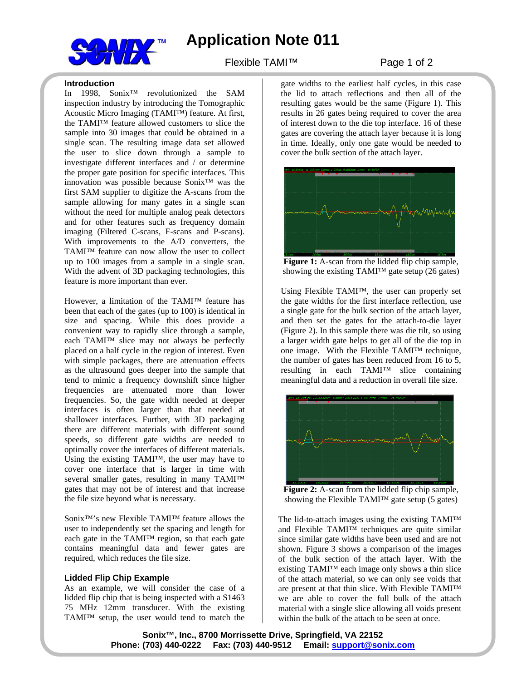

## **Application Note 011**

### Flexible TAMI™ Page 1 of 2

#### **Introduction**

In 1998, Sonix™ revolutionized the SAM inspection industry by introducing the Tomographic Acoustic Micro Imaging (TAMI™) feature. At first, the TAMI™ feature allowed customers to slice the sample into 30 images that could be obtained in a single scan. The resulting image data set allowed the user to slice down through a sample to investigate different interfaces and / or determine the proper gate position for specific interfaces. This innovation was possible because Sonix™ was the first SAM supplier to digitize the A-scans from the sample allowing for many gates in a single scan without the need for multiple analog peak detectors and for other features such as frequency domain imaging (Filtered C-scans, F-scans and P-scans). With improvements to the A/D converters, the TAMI™ feature can now allow the user to collect up to 100 images from a sample in a single scan. With the advent of 3D packaging technologies, this feature is more important than ever.

However, a limitation of the TAMI™ feature has been that each of the gates (up to 100) is identical in size and spacing. While this does provide a convenient way to rapidly slice through a sample, each TAMI™ slice may not always be perfectly placed on a half cycle in the region of interest. Even with simple packages, there are attenuation effects as the ultrasound goes deeper into the sample that tend to mimic a frequency downshift since higher frequencies are attenuated more than lower frequencies. So, the gate width needed at deeper interfaces is often larger than that needed at shallower interfaces. Further, with 3D packaging there are different materials with different sound speeds, so different gate widths are needed to optimally cover the interfaces of different materials. Using the existing TAMI™, the user may have to cover one interface that is larger in time with several smaller gates, resulting in many TAMI<sup>TM</sup> gates that may not be of interest and that increase the file size beyond what is necessary.

Sonix™'s new Flexible TAMI™ feature allows the user to independently set the spacing and length for each gate in the TAMI™ region, so that each gate contains meaningful data and fewer gates are required, which reduces the file size.

### **Lidded Flip Chip Example**

As an example, we will consider the case of a lidded flip chip that is being inspected with a S1463 75 MHz 12mm transducer. With the existing TAMI™ setup, the user would tend to match the

gate widths to the earliest half cycles, in this case the lid to attach reflections and then all of the resulting gates would be the same (Figure 1). This results in 26 gates being required to cover the area of interest down to the die top interface. 16 of these gates are covering the attach layer because it is long in time. Ideally, only one gate would be needed to cover the bulk section of the attach layer.



**Figure 1:** A-scan from the lidded flip chip sample, showing the existing TAMI<sup>TM</sup> gate setup  $(26$  gates)

Using Flexible TAMI™, the user can properly set the gate widths for the first interface reflection, use a single gate for the bulk section of the attach layer, and then set the gates for the attach-to-die layer (Figure 2). In this sample there was die tilt, so using a larger width gate helps to get all of the die top in one image. With the Flexible TAMI™ technique, the number of gates has been reduced from 16 to 5, resulting in each TAMI™ slice containing meaningful data and a reduction in overall file size.



**Figure 2:** A-scan from the lidded flip chip sample, showing the Flexible TAMI<sup>TM</sup> gate setup (5 gates)

The lid-to-attach images using the existing TAMI™ and Flexible TAMI™ techniques are quite similar since similar gate widths have been used and are not shown. Figure 3 shows a comparison of the images of the bulk section of the attach layer. With the existing TAMI™ each image only shows a thin slice of the attach material, so we can only see voids that are present at that thin slice. With Flexible TAMI™ we are able to cover the full bulk of the attach material with a single slice allowing all voids present within the bulk of the attach to be seen at once.